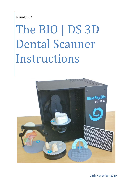Blue Sky Bio

# The BIO | DS 3D Dental Scanner Instructions



26th November 2020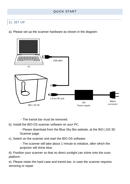# QUICK START

# 1). SET UP

a). Please set up the scanner hardware as shown in the diagram:



- The transit bar must be removed.

b). Install the BIO DS scanner software on your PC.

- Please download from the Blue Sky Bio website, at the BIO | DS 3D Scanner page.

c). Switch on the scanner and start the BIO DS software.

- The scanner will take about 1 minute to initialize, after which the projector will shine blue.

d). Position your scanner so that no direct sunlight can shine onto the scan platform.

e). Please retain the hard case and transit bar, in case the scanner requires servicing or repair.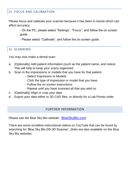# 2). FOCUS AND CALIBRATION

Please focus and calibrate your scanner because it has been in transit which can affect accuracy.

- On the PC, please select "Settings", "Focus", and follow the on screen guide.

- Please select "Calibrate", and follow the on screen guide.

# 3). SCANNING

You may now make a dental scan:

- a. (Optionally) Add patient information (such as the patient name, and notes). This will help to keep your scans organized.
- b. Scan in the impressions or models that you have for that patient.
	- Select Impression or Models.
	- Click the type of impression or model that you have.
	- Follow the on screen instructions.
	- Repeat until you have scanned all that you wish to.
- c. (Optionally) Align or crop your data.
- d. Export your data either to 3D CAD files, or directly for a Lab Pronto order.

#### FURTHER INFORMATION

Please see the Blue Sky Bio website: BlueSkyBio.com

There are some excellent instructional videos on YouTube that can be found by searching for 'Blue Sky Bio DS-3D Scanner', (links are also available on the Blue Sky Bio website).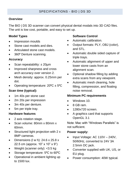#### **Overview**

The BIO | DS 3D scanner can convert physical dental modals into 3D CAD files. The unit is low cost, portable, and easy to set up.

#### **Model Types**

- Impression moulds
- Stone cast models and dies.
- Articulated stone cast models.
- 360⁰ Denture scanning.

#### **Accuracy**

- Scan repeatability: ± 20µm
- Improved sharpness and cross arch accuracy over version 2.
- Mesh density: approx. 0.25mm per dot.
- Operating temperature:  $20^{\circ}C \pm 5^{\circ}C$

## **Scan time (typical):**

- 1m 40s per stone cast
- 2m 20s per impression
- 3m 40s per denture.
- 5m per triple tray.

#### **Hardware features**

- 2 axis rotation stage.
- Scan volume: 80mm x 80mm x 60mm.
- Structured light projection with 2 x 8MP cameras.
- Dimensions (l w h): 24.6 x 25.8 x 22.5 cm (approx. 10" x 10" x 9")
- Weight (scanner only):  $<$ 3.5 kg
- Storage temperature: 5°C to 60°C
- Operational in ambient lighting up to 1500 lux.

## **Software Control**

- Automatic calibration.
- Output formats: PLY, OBJ (color), and STL.
- Automatic double sided capture of triple trays.
- Automatic alignment of upper and lower stone casts from an alignment scan.
- Optional shadow filling by adding extra scans from any viewpoint.
- Automatic mesh cleaning, hole filling, compression, and floating noise removal.

## **Minimum PC requirements**

- Windows 10.
- $8$  GB ram
- 1280x720 screen.
- A graphics card that supports OpenGL 3.1

Note: Mac with "Windows Parallels" is not sufficient.

#### **Power supply:**

- Input Voltage: AC 110V 240V, 50/60Hz, converted to 24V 3A 2.5mm DC jack.
- Converter supplied with UK, US, or EU plug.
- Power consumption: 40W typical.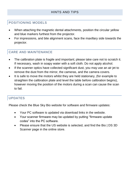# POSITIONING MODELS

- When attaching the magnetic dental attachments, position the circular yellow and blue markers furthest from the projector.
- For impressions, and bite alignment scans, face the maxillary side towards the projector.

# CARE AND MAINTENANCE

- The calibration plate is fragile and important; please take care not to scratch it. If necessary, wash in soapy water with a soft cloth. Do not apply alcohol.
- If the scanner optics have collected significant dust, you may use an air jet to remove the dust from the mirror, the cameras, and the camera covers.
- It is safe to move the motors whilst they are held stationary, (for example to straighten the calibration plate and level the table before calibration begins), however moving the position of the motors during a scan can cause the scan to fail.

# UPDATES

Please check the Blue Sky Bio website for software and firmware updates:

- Your PC software is updated via download links in the website.
- Your scanner firmware may be updated by putting "firmware update codes" into the PC software.
- Please ensure that the US website is selected, and find the Bio | DS 3D Scanner page in the online store.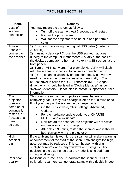# TROUBLE SHOOTING

| <b>Issue</b>                      | Remedy                                                                                                                             |
|-----------------------------------|------------------------------------------------------------------------------------------------------------------------------------|
| Loss of                           | You may restart the system as follows:                                                                                             |
| scanner                           | Turn off the scanner, wait 3 seconds and restart.                                                                                  |
| connection.                       | Restart the pc software.                                                                                                           |
|                                   | Wait for the projector to shine blue and perform a                                                                                 |
|                                   | scan.                                                                                                                              |
| Always<br>unable to<br>connect to | 1). Ensure you are using the original USB cable (made by<br>JuiceBitz).<br>2). If using a desktop PC, use the USB socket that goes |
| the scanner.                      | directly to the computer motherboard (usually at the back of                                                                       |
|                                   | the desktop computer rather than via extra USB sockets at the<br>front panel).                                                     |
|                                   | 3). Turn off VPN software. For example NordVPN will clash                                                                          |
|                                   | with the scanner connection to cause a connection error.                                                                           |
|                                   | 4). (Rare) It can occasionally happen that the Windows driver                                                                      |
|                                   | used by the scanner does not install automatically.<br>The                                                                         |
|                                   | correct driver is called the "USB Ethernet/RNDIS Gadget"<br>driver, which should be listed in "Device Manager", under              |
|                                   | "Network Adapters" - if not, please contact support for further                                                                    |
|                                   | information.                                                                                                                       |
| The                               | This could mean that the projectors internal battery is                                                                            |
| projector                         | completely flat. It may build charge if left on for 20 mins or so.                                                                 |
| does not                          | If not you may put the scanner into charge mode:                                                                                   |
| come on or<br>continually         | On the PC software, Click Settings, Advanced,<br>Update.                                                                           |
| restarts, or<br>freezes at a      | For the hardware update code type "CHARGE<br>$\bullet$<br>MODE", and click update.                                                 |
| menu                              | Now restart the scanner, the projector will not switch<br>$\bullet$                                                                |
| screen.                           | on thus allowing it to charge.                                                                                                     |
|                                   | After about 30 mins, restart the scanner and it should<br>boot correctly with the projector on.                                    |
| High                              | If the ambient light is too high, the scanner will make a warning                                                                  |
| Ambient                           | announcement at the start of the scan 'Ambient light too high,                                                                     |
| Light                             | accuracy may be reduced'. This can happen with bright                                                                              |
|                                   | sunlight or rooms with many windows and skylights. Try                                                                             |
|                                   | positioning the scanner so that the model is shielded from<br>strong window light.                                                 |
| Poor scan                         | Re-focus or re-focus and re-calibrate the scanner. Out of                                                                          |
| quality.                          | calibration scanners can generate scans with a double image.                                                                       |
|                                   |                                                                                                                                    |